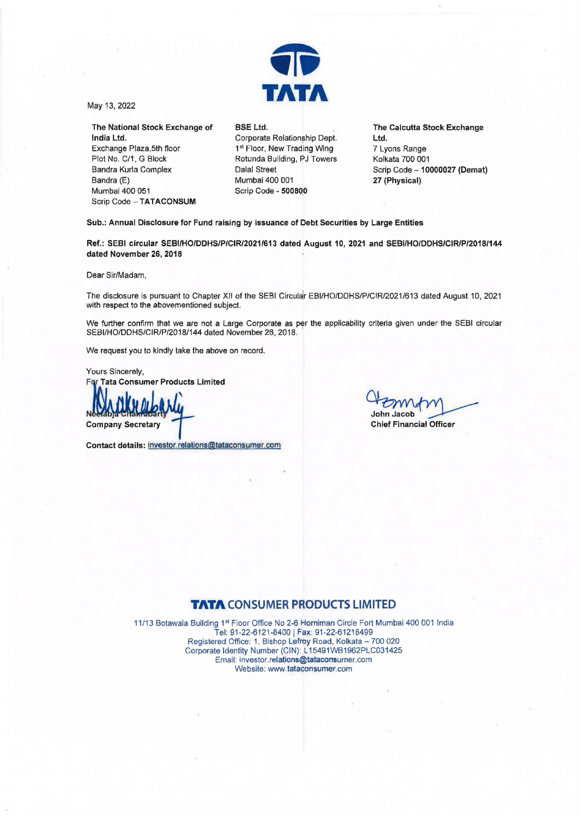

May 13, 2022

The National Stock Exchange of **India** Ltd. Exchange Plaza.5th floor Plot No. C/1, G Block Bandra Kurla Complex Bandra (E) Mumbai 400 051 Scrip Code - TATACONSUM

**BSE Ltd.**  Corporate Relationship Dept. 1st Floor, New Trading Wing Rotunda Building, PJ Towers Dalal Street Mumbai 400 001 Scrip Code - **50080,0** 

**The Calcutta Stock Exchange Ltd.**  7 Lyons Range Kolkata 700 001 Scrip **Code-10000027 (Demat) 27 (Physical)** 

Sub.: Annual Disclosure for Fund raising by issuance of Debt Securities by Large Entities

**Ref.: SEBI circular SEBI/HO/DDHS/P/CIR/2021/613 dated August 10, 2021 and SEBI/HO/DDHS/CIR/P/2018/144 dated November 26, 2018** 

Dear Sir/Madam,

The disclosure is pursuant to Chapter XII of the SEBI Circular EBI/HO/DDHS/P/CIR/2021/613 dated August 10, 2021 with respect to the abovementioned subject.

We further confirm that we are not a Large Corporate as per the applicability criteria given under the SEBI circular SEBI/HO/DDHS/CIR/P/2018/144 dated November 26, 2018.

We request you to kindly take the above on record.

Yours Sincerely, **For Tata Consumer Products Limited** 

**Company Secretary** 

Contact details: investor.relations@tataconsumer.com

Of Symphy

## **TATA CONSUMER PRODUCTS LIMITED**

11/13 Botawala Building 1st Floor Office No 2-6 Horniman Circle Fort Mumbai 400 001 India Tel: 91-22-6121-8400 I **Fax:** 91-22-61218499 Registered Office: 1, Bishop Lefroy Road, Kolkata - 700 020 Corporate Identity Number (CIN): L15491WB1962PLC031425 Email: investor.relations@tataconsumer.com Website: www.tataconsumer.com